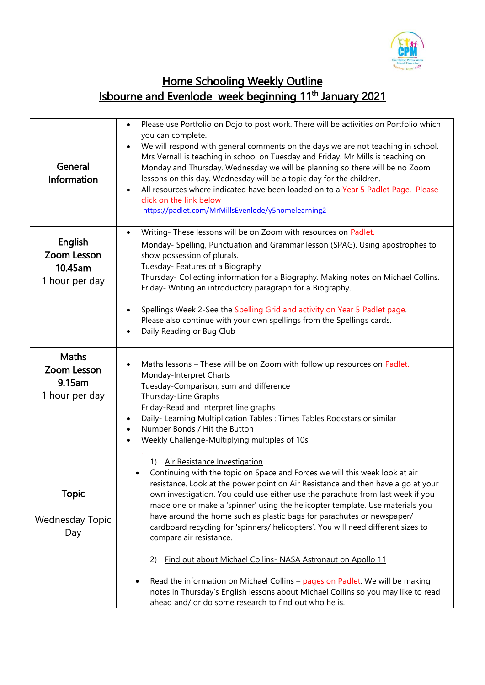

## Home Schooling Weekly Outline Isbourne and Evenlode week beginning 11<sup>th</sup> January 2021

| General<br>Information                                  | Please use Portfolio on Dojo to post work. There will be activities on Portfolio which<br>$\bullet$<br>you can complete.<br>We will respond with general comments on the days we are not teaching in school.<br>$\bullet$<br>Mrs Vernall is teaching in school on Tuesday and Friday. Mr Mills is teaching on<br>Monday and Thursday. Wednesday we will be planning so there will be no Zoom<br>lessons on this day. Wednesday will be a topic day for the children.<br>All resources where indicated have been loaded on to a Year 5 Padlet Page. Please<br>$\bullet$<br>click on the link below<br>https://padlet.com/MrMillsEvenlode/y5homelearning2                                                                                                                                                                                                             |
|---------------------------------------------------------|---------------------------------------------------------------------------------------------------------------------------------------------------------------------------------------------------------------------------------------------------------------------------------------------------------------------------------------------------------------------------------------------------------------------------------------------------------------------------------------------------------------------------------------------------------------------------------------------------------------------------------------------------------------------------------------------------------------------------------------------------------------------------------------------------------------------------------------------------------------------|
| English<br>Zoom Lesson<br>10.45am<br>1 hour per day     | Writing-These lessons will be on Zoom with resources on Padlet.<br>$\bullet$<br>Monday- Spelling, Punctuation and Grammar lesson (SPAG). Using apostrophes to<br>show possession of plurals.<br>Tuesday- Features of a Biography<br>Thursday- Collecting information for a Biography. Making notes on Michael Collins.<br>Friday- Writing an introductory paragraph for a Biography.<br>Spellings Week 2-See the Spelling Grid and activity on Year 5 Padlet page.<br>$\bullet$<br>Please also continue with your own spellings from the Spellings cards.<br>Daily Reading or Bug Club<br>$\bullet$                                                                                                                                                                                                                                                                 |
| <b>Maths</b><br>Zoom Lesson<br>9.15am<br>1 hour per day | Maths lessons - These will be on Zoom with follow up resources on Padlet.<br>$\bullet$<br>Monday-Interpret Charts<br>Tuesday-Comparison, sum and difference<br>Thursday-Line Graphs<br>Friday-Read and interpret line graphs<br>Daily- Learning Multiplication Tables : Times Tables Rockstars or similar<br>$\bullet$<br>Number Bonds / Hit the Button<br>$\bullet$<br>Weekly Challenge-Multiplying multiples of 10s<br>$\bullet$                                                                                                                                                                                                                                                                                                                                                                                                                                  |
| <b>Topic</b><br><b>Wednesday Topic</b><br>Day           | 1) Air Resistance Investigation<br>Continuing with the topic on Space and Forces we will this week look at air<br>resistance. Look at the power point on Air Resistance and then have a go at your<br>own investigation. You could use either use the parachute from last week if you<br>made one or make a 'spinner' using the helicopter template. Use materials you<br>have around the home such as plastic bags for parachutes or newspaper/<br>cardboard recycling for 'spinners/ helicopters'. You will need different sizes to<br>compare air resistance.<br>Find out about Michael Collins- NASA Astronaut on Apollo 11<br>2)<br>Read the information on Michael Collins - pages on Padlet. We will be making<br>notes in Thursday's English lessons about Michael Collins so you may like to read<br>ahead and/ or do some research to find out who he is. |